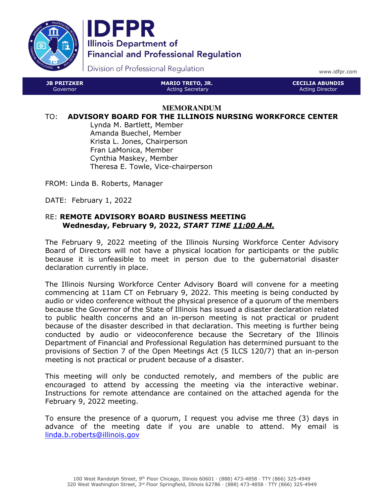



Division of Professional Regulation

www.idfpr.com

| <b>JB PRITZKER</b> | <b>MARIO TRETO, JR.</b> | : CECILIA ABUNDIS ' |
|--------------------|-------------------------|---------------------|
| Governor           | Acting Secretary        | Acting Director     |

#### **MEMORANDUM**

#### TO: ADVISORY BOARD FOR THE ILLINOIS NURSING WORKFORCE CENTER

Lynda M. Bartlett, Member Amanda Buechel, Member Krista L. Jones, Chairperson Fran LaMonica, Member Cynthia Maskey, Member Theresa E. Towle, Vice-chairperson

FROM: Linda B. Roberts, Manager

DATE: February 1, 2022

#### RE: REMOTE ADVISORY BOARD BUSINESS MEETING Wednesday, February 9, 2022, START TIME 11:00 A.M.

The February 9, 2022 meeting of the Illinois Nursing Workforce Center Advisory Board of Directors will not have a physical location for participants or the public because it is unfeasible to meet in person due to the gubernatorial disaster declaration currently in place.

The Illinois Nursing Workforce Center Advisory Board will convene for a meeting commencing at 11am CT on February 9, 2022. This meeting is being conducted by audio or video conference without the physical presence of a quorum of the members because the Governor of the State of Illinois has issued a disaster declaration related to public health concerns and an in-person meeting is not practical or prudent because of the disaster described in that declaration. This meeting is further being conducted by audio or videoconference because the Secretary of the Illinois Department of Financial and Professional Regulation has determined pursuant to the provisions of Section 7 of the Open Meetings Act (5 ILCS 120/7) that an in-person meeting is not practical or prudent because of a disaster.

This meeting will only be conducted remotely, and members of the public are encouraged to attend by accessing the meeting via the interactive webinar. Instructions for remote attendance are contained on the attached agenda for the February 9, 2022 meeting.

To ensure the presence of a quorum, I request you advise me three (3) days in advance of the meeting date if you are unable to attend. My email is linda.b.roberts@illinois.gov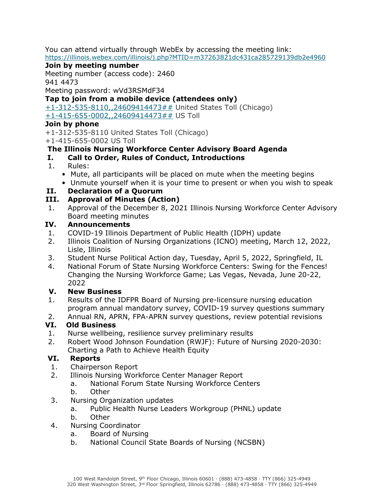You can attend virtually through WebEx by accessing the meeting link: https://illinois.webex.com/illinois/j.php?MTID=m37263821dc431ca285729139db2e4960

### Join by meeting number

Meeting number (access code): 2460 941 4473

Meeting password: wVd3RSMdF34

Tap to join from a mobile device (attendees only)

+1-312-535-8110,,24609414473## United States Toll (Chicago) +1-415-655-0002,,24609414473## US Toll

#### Join by phone

+1-312-535-8110 United States Toll (Chicago) +1-415-655-0002 US Toll

## The Illinois Nursing Workforce Center Advisory Board Agenda

## I. Call to Order, Rules of Conduct, Introductions

- 1. Rules:
	- Mute, all participants will be placed on mute when the meeting begins
	- Unmute yourself when it is your time to present or when you wish to speak

### II. Declaration of a Quorum

## III. Approval of Minutes (Action)

1. Approval of the December 8, 2021 Illinois Nursing Workforce Center Advisory Board meeting minutes

### IV. Announcements

- 1. COVID-19 Illinois Department of Public Health (IDPH) update
- 2. Illinois Coalition of Nursing Organizations (ICNO) meeting, March 12, 2022, Lisle, Illinois
- 3. Student Nurse Political Action day, Tuesday, April 5, 2022, Springfield, IL
- 4. National Forum of State Nursing Workforce Centers: Swing for the Fences! Changing the Nursing Workforce Game; Las Vegas, Nevada, June 20-22, 2022

### V. New Business

- 1. Results of the IDFPR Board of Nursing pre-licensure nursing education program annual mandatory survey, COVID-19 survey questions summary
- 2. Annual RN, APRN, FPA-APRN survey questions, review potential revisions

# VI. Old Business

- 1. Nurse wellbeing, resilience survey preliminary results
- 2. Robert Wood Johnson Foundation (RWJF): Future of Nursing 2020-2030: Charting a Path to Achieve Health Equity

### VI. Reports

- 1. Chairperson Report
- 2. Illinois Nursing Workforce Center Manager Report
	- a. National Forum State Nursing Workforce Centers
	- b. Other
- 3. Nursing Organization updates
	- a. Public Health Nurse Leaders Workgroup (PHNL) update
	- b. Other
- 4. Nursing Coordinator
	- a. Board of Nursing
	- b. National Council State Boards of Nursing (NCSBN)